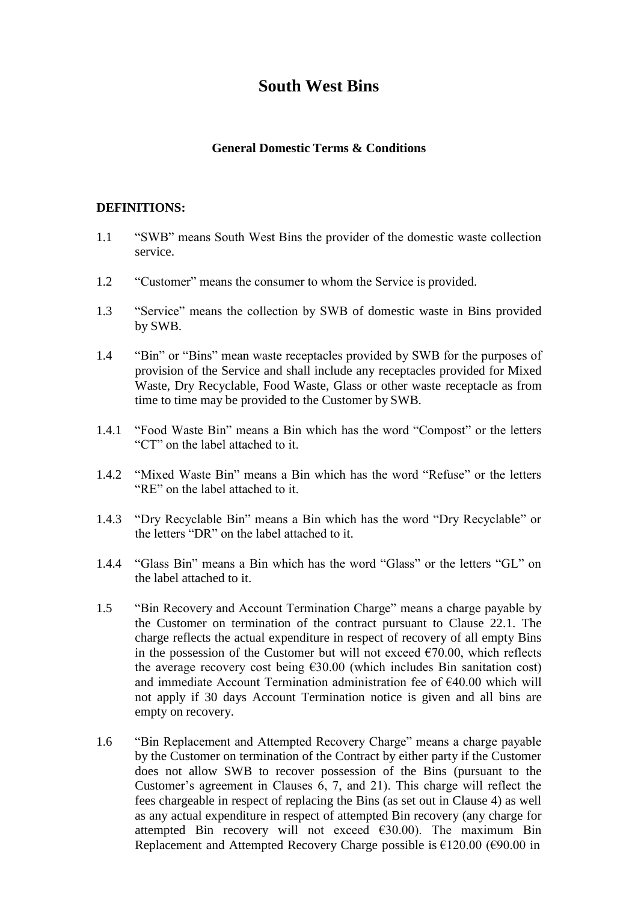# **South West Bins**

#### **General Domestic Terms & Conditions**

#### **DEFINITIONS:**

- 1.1 "SWB" means South West Bins the provider of the domestic waste collection service.
- 1.2 "Customer" means the consumer to whom the Service is provided.
- 1.3 "Service" means the collection by SWB of domestic waste in Bins provided by SWB.
- 1.4 "Bin" or "Bins" mean waste receptacles provided by SWB for the purposes of provision of the Service and shall include any receptacles provided for Mixed Waste, Dry Recyclable, Food Waste, Glass or other waste receptacle as from time to time may be provided to the Customer by SWB.
- 1.4.1 "Food Waste Bin" means a Bin which has the word "Compost" or the letters "CT" on the label attached to it.
- 1.4.2 "Mixed Waste Bin" means a Bin which has the word "Refuse" or the letters "RE" on the label attached to it.
- 1.4.3 "Dry Recyclable Bin" means a Bin which has the word "Dry Recyclable" or the letters "DR" on the label attached to it.
- 1.4.4 "Glass Bin" means a Bin which has the word "Glass" or the letters "GL" on the label attached to it.
- 1.5 "Bin Recovery and Account Termination Charge" means a charge payable by the Customer on termination of the contract pursuant to Clause 22.1. The charge reflects the actual expenditure in respect of recovery of all empty Bins in the possession of the Customer but will not exceed  $\epsilon$ 70.00, which reflects the average recovery cost being  $\epsilon$ 30.00 (which includes Bin sanitation cost) and immediate Account Termination administration fee of €40.00 which will not apply if 30 days Account Termination notice is given and all bins are empty on recovery.
- 1.6 "Bin Replacement and Attempted Recovery Charge" means a charge payable by the Customer on termination of the Contract by either party if the Customer does not allow SWB to recover possession of the Bins (pursuant to the Customer's agreement in Clauses 6, 7, and 21). This charge will reflect the fees chargeable in respect of replacing the Bins (as set out in Clause 4) as well as any actual expenditure in respect of attempted Bin recovery (any charge for attempted Bin recovery will not exceed  $\epsilon$ 30.00). The maximum Bin Replacement and Attempted Recovery Charge possible is  $£120.00$  ( $€90.00$  in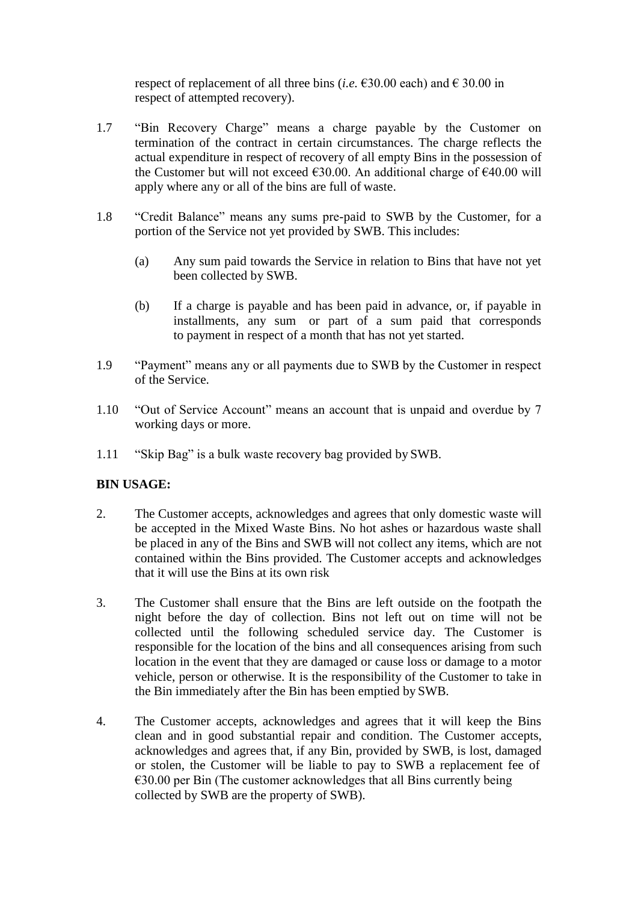respect of replacement of all three bins (*i.e.*  $\epsilon$ 30.00 each) and  $\epsilon$  30.00 in respect of attempted recovery).

- 1.7 "Bin Recovery Charge" means a charge payable by the Customer on termination of the contract in certain circumstances. The charge reflects the actual expenditure in respect of recovery of all empty Bins in the possession of the Customer but will not exceed  $\epsilon$ 30.00. An additional charge of  $\epsilon$ 40.00 will apply where any or all of the bins are full of waste.
- 1.8 "Credit Balance" means any sums pre-paid to SWB by the Customer, for a portion of the Service not yet provided by SWB. This includes:
	- (a) Any sum paid towards the Service in relation to Bins that have not yet been collected by SWB.
	- (b) If a charge is payable and has been paid in advance, or, if payable in installments, any sum or part of a sum paid that corresponds to payment in respect of a month that has not yet started.
- 1.9 "Payment" means any or all payments due to SWB by the Customer in respect of the Service.
- 1.10 "Out of Service Account" means an account that is unpaid and overdue by 7 working days or more.
- 1.11 "Skip Bag" is a bulk waste recovery bag provided by SWB.

# **BIN USAGE:**

- 2. The Customer accepts, acknowledges and agrees that only domestic waste will be accepted in the Mixed Waste Bins. No hot ashes or hazardous waste shall be placed in any of the Bins and SWB will not collect any items, which are not contained within the Bins provided. The Customer accepts and acknowledges that it will use the Bins at its own risk
- 3. The Customer shall ensure that the Bins are left outside on the footpath the night before the day of collection. Bins not left out on time will not be collected until the following scheduled service day. The Customer is responsible for the location of the bins and all consequences arising from such location in the event that they are damaged or cause loss or damage to a motor vehicle, person or otherwise. It is the responsibility of the Customer to take in the Bin immediately after the Bin has been emptied by SWB.
- 4. The Customer accepts, acknowledges and agrees that it will keep the Bins clean and in good substantial repair and condition. The Customer accepts, acknowledges and agrees that, if any Bin, provided by SWB, is lost, damaged or stolen, the Customer will be liable to pay to SWB a replacement fee of  $\epsilon$ 30.00 per Bin (The customer acknowledges that all Bins currently being collected by SWB are the property of SWB).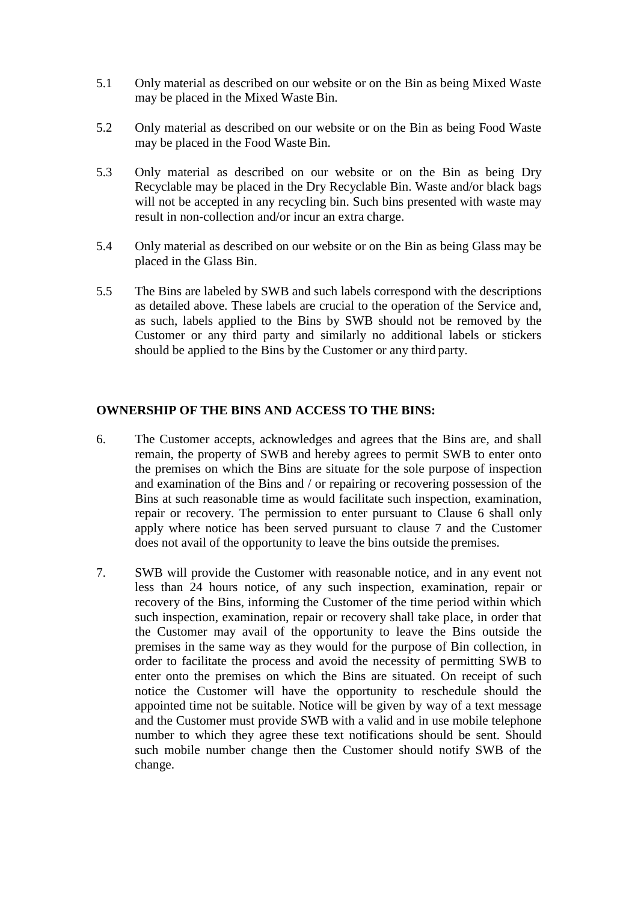- 5.1 Only material as described on our website or on the Bin as being Mixed Waste may be placed in the Mixed Waste Bin.
- 5.2 Only material as described on our website or on the Bin as being Food Waste may be placed in the Food Waste Bin.
- 5.3 Only material as described on our website or on the Bin as being Dry Recyclable may be placed in the Dry Recyclable Bin. Waste and/or black bags will not be accepted in any recycling bin. Such bins presented with waste may result in non-collection and/or incur an extra charge.
- 5.4 Only material as described on our website or on the Bin as being Glass may be placed in the Glass Bin.
- 5.5 The Bins are labeled by SWB and such labels correspond with the descriptions as detailed above. These labels are crucial to the operation of the Service and, as such, labels applied to the Bins by SWB should not be removed by the Customer or any third party and similarly no additional labels or stickers should be applied to the Bins by the Customer or any third party.

# **OWNERSHIP OF THE BINS AND ACCESS TO THE BINS:**

- 6. The Customer accepts, acknowledges and agrees that the Bins are, and shall remain, the property of SWB and hereby agrees to permit SWB to enter onto the premises on which the Bins are situate for the sole purpose of inspection and examination of the Bins and / or repairing or recovering possession of the Bins at such reasonable time as would facilitate such inspection, examination, repair or recovery. The permission to enter pursuant to Clause 6 shall only apply where notice has been served pursuant to clause 7 and the Customer does not avail of the opportunity to leave the bins outside the premises.
- 7. SWB will provide the Customer with reasonable notice, and in any event not less than 24 hours notice, of any such inspection, examination, repair or recovery of the Bins, informing the Customer of the time period within which such inspection, examination, repair or recovery shall take place, in order that the Customer may avail of the opportunity to leave the Bins outside the premises in the same way as they would for the purpose of Bin collection, in order to facilitate the process and avoid the necessity of permitting SWB to enter onto the premises on which the Bins are situated. On receipt of such notice the Customer will have the opportunity to reschedule should the appointed time not be suitable. Notice will be given by way of a text message and the Customer must provide SWB with a valid and in use mobile telephone number to which they agree these text notifications should be sent. Should such mobile number change then the Customer should notify SWB of the change.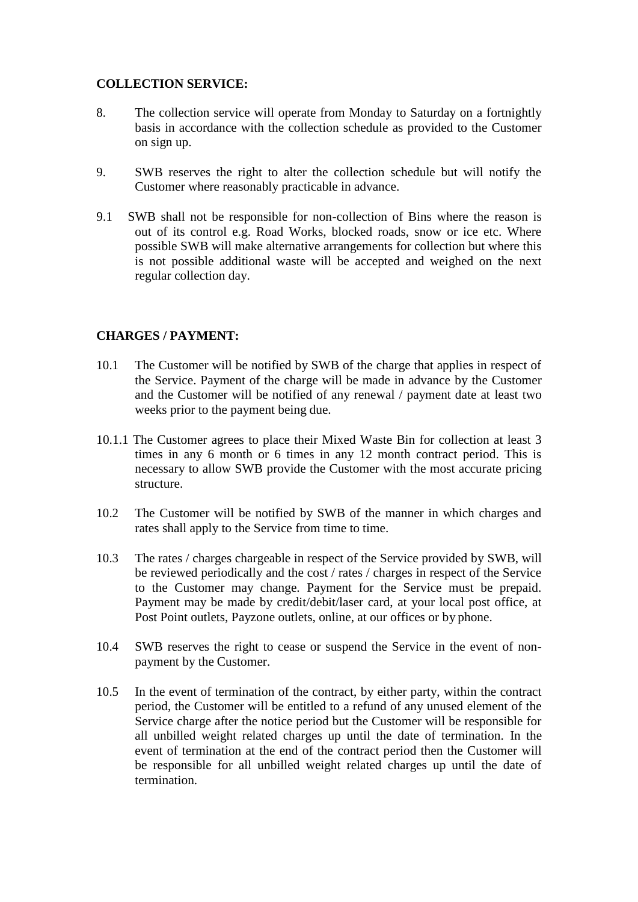# **COLLECTION SERVICE:**

- 8. The collection service will operate from Monday to Saturday on a fortnightly basis in accordance with the collection schedule as provided to the Customer on sign up.
- 9. SWB reserves the right to alter the collection schedule but will notify the Customer where reasonably practicable in advance.
- 9.1 SWB shall not be responsible for non-collection of Bins where the reason is out of its control e.g. Road Works, blocked roads, snow or ice etc. Where possible SWB will make alternative arrangements for collection but where this is not possible additional waste will be accepted and weighed on the next regular collection day.

#### **CHARGES / PAYMENT:**

- 10.1 The Customer will be notified by SWB of the charge that applies in respect of the Service. Payment of the charge will be made in advance by the Customer and the Customer will be notified of any renewal / payment date at least two weeks prior to the payment being due.
- 10.1.1 The Customer agrees to place their Mixed Waste Bin for collection at least 3 times in any 6 month or 6 times in any 12 month contract period. This is necessary to allow SWB provide the Customer with the most accurate pricing structure.
- 10.2 The Customer will be notified by SWB of the manner in which charges and rates shall apply to the Service from time to time.
- 10.3 The rates / charges chargeable in respect of the Service provided by SWB, will be reviewed periodically and the cost / rates / charges in respect of the Service to the Customer may change. Payment for the Service must be prepaid. Payment may be made by credit/debit/laser card, at your local post office, at Post Point outlets, Payzone outlets, online, at our offices or by phone.
- 10.4 SWB reserves the right to cease or suspend the Service in the event of nonpayment by the Customer.
- 10.5 In the event of termination of the contract, by either party, within the contract period, the Customer will be entitled to a refund of any unused element of the Service charge after the notice period but the Customer will be responsible for all unbilled weight related charges up until the date of termination. In the event of termination at the end of the contract period then the Customer will be responsible for all unbilled weight related charges up until the date of termination.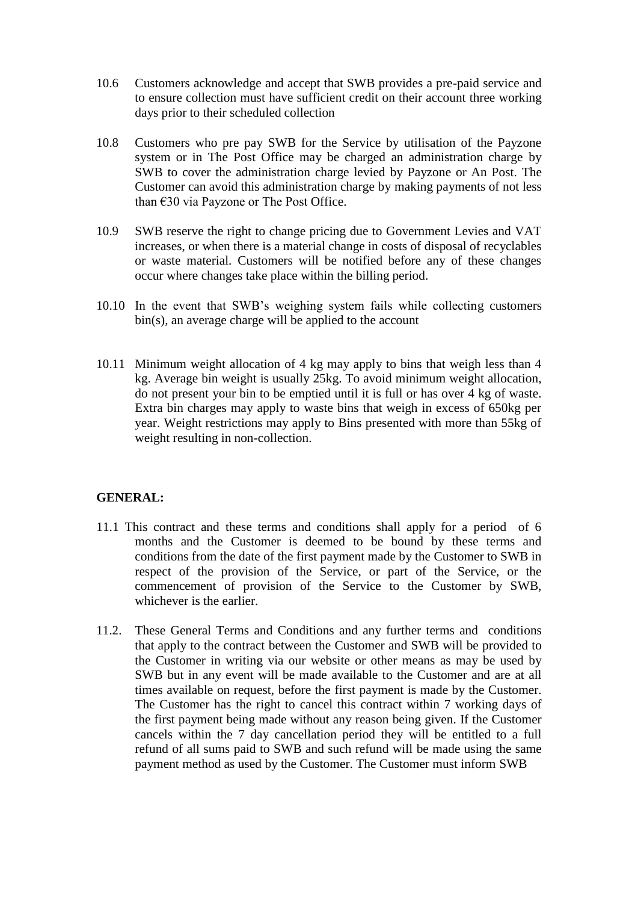- 10.6 Customers acknowledge and accept that SWB provides a pre-paid service and to ensure collection must have sufficient credit on their account three working days prior to their scheduled collection
- 10.8 Customers who pre pay SWB for the Service by utilisation of the Payzone system or in The Post Office may be charged an administration charge by SWB to cover the administration charge levied by Payzone or An Post. The Customer can avoid this administration charge by making payments of not less than €30 via Payzone or The Post Office.
- 10.9 SWB reserve the right to change pricing due to Government Levies and VAT increases, or when there is a material change in costs of disposal of recyclables or waste material. Customers will be notified before any of these changes occur where changes take place within the billing period.
- 10.10 In the event that SWB's weighing system fails while collecting customers bin(s), an average charge will be applied to the account
- 10.11 Minimum weight allocation of 4 kg may apply to bins that weigh less than 4 kg. Average bin weight is usually 25kg. To avoid minimum weight allocation, do not present your bin to be emptied until it is full or has over 4 kg of waste. Extra bin charges may apply to waste bins that weigh in excess of 650kg per year. Weight restrictions may apply to Bins presented with more than 55kg of weight resulting in non-collection.

#### **GENERAL:**

- 11.1 This contract and these terms and conditions shall apply for a period of 6 months and the Customer is deemed to be bound by these terms and conditions from the date of the first payment made by the Customer to SWB in respect of the provision of the Service, or part of the Service, or the commencement of provision of the Service to the Customer by SWB, whichever is the earlier.
- 11.2. These General Terms and Conditions and any further terms and conditions that apply to the contract between the Customer and SWB will be provided to the Customer in writing via our website or other means as may be used by SWB but in any event will be made available to the Customer and are at all times available on request, before the first payment is made by the Customer. The Customer has the right to cancel this contract within 7 working days of the first payment being made without any reason being given. If the Customer cancels within the 7 day cancellation period they will be entitled to a full refund of all sums paid to SWB and such refund will be made using the same payment method as used by the Customer. The Customer must inform SWB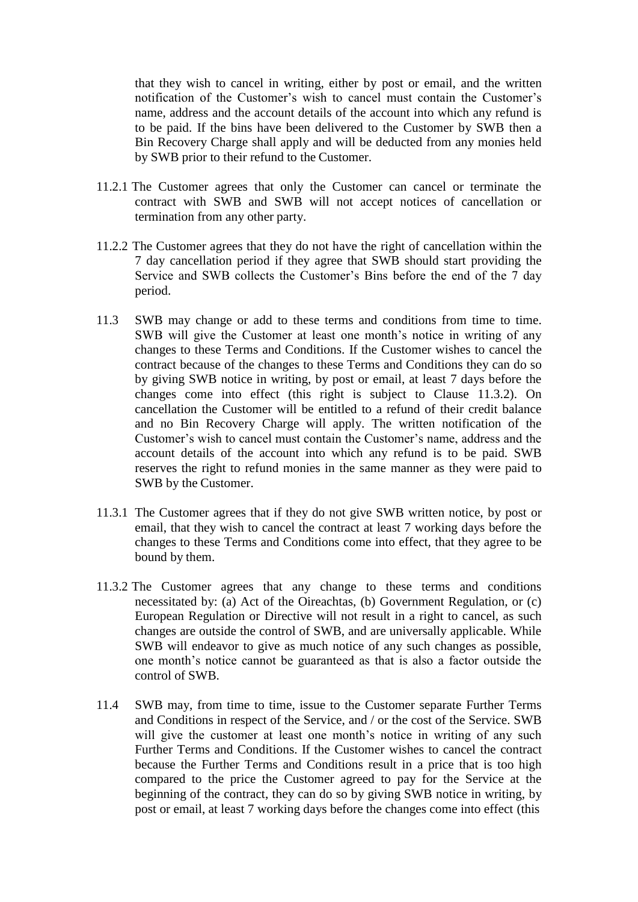that they wish to cancel in writing, either by post or email, and the written notification of the Customer's wish to cancel must contain the Customer's name, address and the account details of the account into which any refund is to be paid. If the bins have been delivered to the Customer by SWB then a Bin Recovery Charge shall apply and will be deducted from any monies held by SWB prior to their refund to the Customer.

- 11.2.1 The Customer agrees that only the Customer can cancel or terminate the contract with SWB and SWB will not accept notices of cancellation or termination from any other party.
- 11.2.2 The Customer agrees that they do not have the right of cancellation within the 7 day cancellation period if they agree that SWB should start providing the Service and SWB collects the Customer's Bins before the end of the 7 day period.
- 11.3 SWB may change or add to these terms and conditions from time to time. SWB will give the Customer at least one month's notice in writing of any changes to these Terms and Conditions. If the Customer wishes to cancel the contract because of the changes to these Terms and Conditions they can do so by giving SWB notice in writing, by post or email, at least 7 days before the changes come into effect (this right is subject to Clause 11.3.2). On cancellation the Customer will be entitled to a refund of their credit balance and no Bin Recovery Charge will apply. The written notification of the Customer's wish to cancel must contain the Customer's name, address and the account details of the account into which any refund is to be paid. SWB reserves the right to refund monies in the same manner as they were paid to SWB by the Customer.
- 11.3.1 The Customer agrees that if they do not give SWB written notice, by post or email, that they wish to cancel the contract at least 7 working days before the changes to these Terms and Conditions come into effect, that they agree to be bound by them.
- 11.3.2 The Customer agrees that any change to these terms and conditions necessitated by: (a) Act of the Oireachtas, (b) Government Regulation, or (c) European Regulation or Directive will not result in a right to cancel, as such changes are outside the control of SWB, and are universally applicable. While SWB will endeavor to give as much notice of any such changes as possible, one month's notice cannot be guaranteed as that is also a factor outside the control of SWB.
- 11.4 SWB may, from time to time, issue to the Customer separate Further Terms and Conditions in respect of the Service, and / or the cost of the Service. SWB will give the customer at least one month's notice in writing of any such Further Terms and Conditions. If the Customer wishes to cancel the contract because the Further Terms and Conditions result in a price that is too high compared to the price the Customer agreed to pay for the Service at the beginning of the contract, they can do so by giving SWB notice in writing, by post or email, at least 7 working days before the changes come into effect (this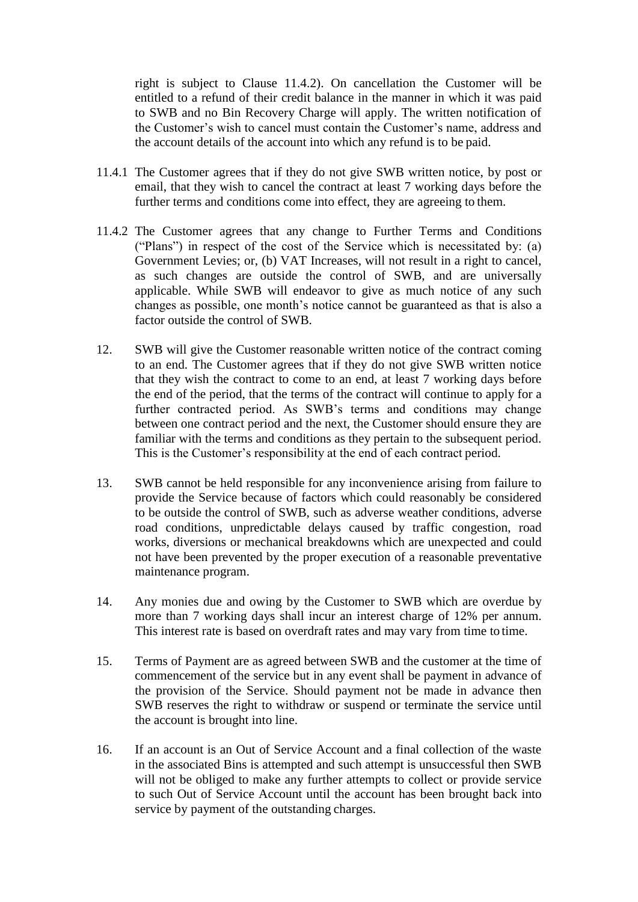right is subject to Clause 11.4.2). On cancellation the Customer will be entitled to a refund of their credit balance in the manner in which it was paid to SWB and no Bin Recovery Charge will apply. The written notification of the Customer's wish to cancel must contain the Customer's name, address and the account details of the account into which any refund is to be paid.

- 11.4.1 The Customer agrees that if they do not give SWB written notice, by post or email, that they wish to cancel the contract at least 7 working days before the further terms and conditions come into effect, they are agreeing to them.
- 11.4.2 The Customer agrees that any change to Further Terms and Conditions ("Plans") in respect of the cost of the Service which is necessitated by: (a) Government Levies; or, (b) VAT Increases, will not result in a right to cancel, as such changes are outside the control of SWB, and are universally applicable. While SWB will endeavor to give as much notice of any such changes as possible, one month's notice cannot be guaranteed as that is also a factor outside the control of SWB.
- 12. SWB will give the Customer reasonable written notice of the contract coming to an end. The Customer agrees that if they do not give SWB written notice that they wish the contract to come to an end, at least 7 working days before the end of the period, that the terms of the contract will continue to apply for a further contracted period. As SWB's terms and conditions may change between one contract period and the next, the Customer should ensure they are familiar with the terms and conditions as they pertain to the subsequent period. This is the Customer's responsibility at the end of each contract period.
- 13. SWB cannot be held responsible for any inconvenience arising from failure to provide the Service because of factors which could reasonably be considered to be outside the control of SWB, such as adverse weather conditions, adverse road conditions, unpredictable delays caused by traffic congestion, road works, diversions or mechanical breakdowns which are unexpected and could not have been prevented by the proper execution of a reasonable preventative maintenance program.
- 14. Any monies due and owing by the Customer to SWB which are overdue by more than 7 working days shall incur an interest charge of 12% per annum. This interest rate is based on overdraft rates and may vary from time to time.
- 15. Terms of Payment are as agreed between SWB and the customer at the time of commencement of the service but in any event shall be payment in advance of the provision of the Service. Should payment not be made in advance then SWB reserves the right to withdraw or suspend or terminate the service until the account is brought into line.
- 16. If an account is an Out of Service Account and a final collection of the waste in the associated Bins is attempted and such attempt is unsuccessful then SWB will not be obliged to make any further attempts to collect or provide service to such Out of Service Account until the account has been brought back into service by payment of the outstanding charges.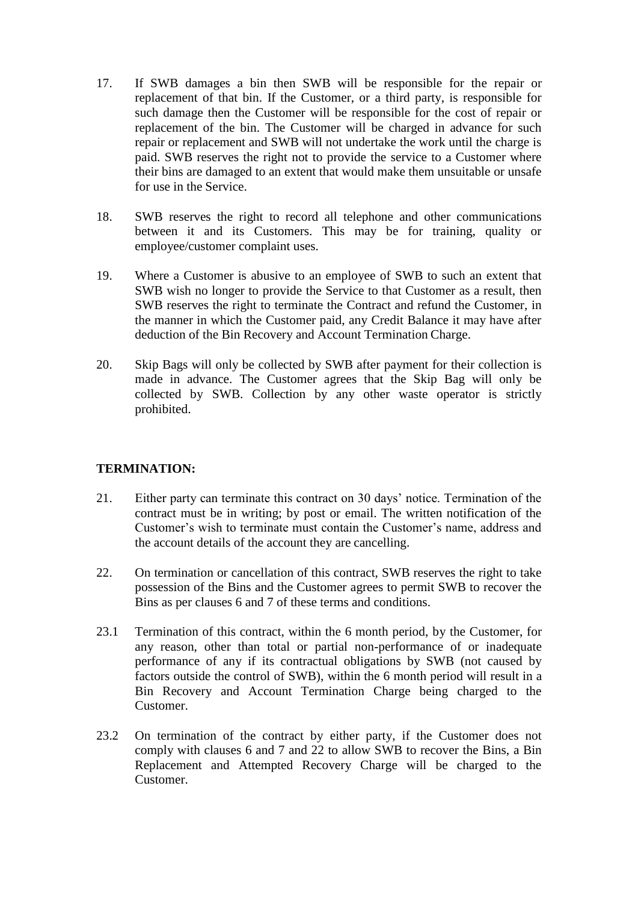- 17. If SWB damages a bin then SWB will be responsible for the repair or replacement of that bin. If the Customer, or a third party, is responsible for such damage then the Customer will be responsible for the cost of repair or replacement of the bin. The Customer will be charged in advance for such repair or replacement and SWB will not undertake the work until the charge is paid. SWB reserves the right not to provide the service to a Customer where their bins are damaged to an extent that would make them unsuitable or unsafe for use in the Service.
- 18. SWB reserves the right to record all telephone and other communications between it and its Customers. This may be for training, quality or employee/customer complaint uses.
- 19. Where a Customer is abusive to an employee of SWB to such an extent that SWB wish no longer to provide the Service to that Customer as a result, then SWB reserves the right to terminate the Contract and refund the Customer, in the manner in which the Customer paid, any Credit Balance it may have after deduction of the Bin Recovery and Account Termination Charge.
- 20. Skip Bags will only be collected by SWB after payment for their collection is made in advance. The Customer agrees that the Skip Bag will only be collected by SWB. Collection by any other waste operator is strictly prohibited.

# **TERMINATION:**

- 21. Either party can terminate this contract on 30 days' notice. Termination of the contract must be in writing; by post or email. The written notification of the Customer's wish to terminate must contain the Customer's name, address and the account details of the account they are cancelling.
- 22. On termination or cancellation of this contract, SWB reserves the right to take possession of the Bins and the Customer agrees to permit SWB to recover the Bins as per clauses 6 and 7 of these terms and conditions.
- 23.1 Termination of this contract, within the 6 month period, by the Customer, for any reason, other than total or partial non-performance of or inadequate performance of any if its contractual obligations by SWB (not caused by factors outside the control of SWB), within the 6 month period will result in a Bin Recovery and Account Termination Charge being charged to the Customer.
- 23.2 On termination of the contract by either party, if the Customer does not comply with clauses 6 and 7 and 22 to allow SWB to recover the Bins, a Bin Replacement and Attempted Recovery Charge will be charged to the Customer.